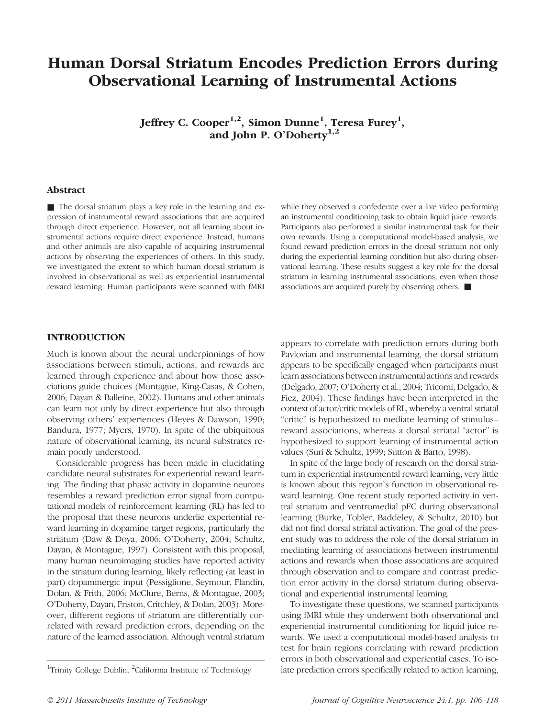# Human Dorsal Striatum Encodes Prediction Errors during Observational Learning of Instrumental Actions

Jeffrey C. Cooper $^{1,2}$ , Simon Dunne $^1$ , Teresa Furey $^1,$ and John P. O'Doherty<sup>1,2</sup>

## Abstract

■ The dorsal striatum plays a key role in the learning and expression of instrumental reward associations that are acquired through direct experience. However, not all learning about instrumental actions require direct experience. Instead, humans and other animals are also capable of acquiring instrumental actions by observing the experiences of others. In this study, we investigated the extent to which human dorsal striatum is involved in observational as well as experiential instrumental reward learning. Human participants were scanned with fMRI

while they observed a confederate over a live video performing an instrumental conditioning task to obtain liquid juice rewards. Participants also performed a similar instrumental task for their own rewards. Using a computational model-based analysis, we found reward prediction errors in the dorsal striatum not only during the experiential learning condition but also during observational learning. These results suggest a key role for the dorsal striatum in learning instrumental associations, even when those associations are acquired purely by observing others. ■

## INTRODUCTION

Much is known about the neural underpinnings of how associations between stimuli, actions, and rewards are learned through experience and about how those associations guide choices (Montague, King-Casas, & Cohen, 2006; Dayan & Balleine, 2002). Humans and other animals can learn not only by direct experience but also through observing others' experiences (Heyes & Dawson, 1990; Bandura, 1977; Myers, 1970). In spite of the ubiquitous nature of observational learning, its neural substrates remain poorly understood.

Considerable progress has been made in elucidating candidate neural substrates for experiential reward learning. The finding that phasic activity in dopamine neurons resembles a reward prediction error signal from computational models of reinforcement learning (RL) has led to the proposal that these neurons underlie experiential reward learning in dopamine target regions, particularly the striatum (Daw & Doya, 2006; O'Doherty, 2004; Schultz, Dayan, & Montague, 1997). Consistent with this proposal, many human neuroimaging studies have reported activity in the striatum during learning, likely reflecting (at least in part) dopaminergic input (Pessiglione, Seymour, Flandin, Dolan, & Frith, 2006; McClure, Berns, & Montague, 2003; O'Doherty, Dayan, Friston, Critchley, & Dolan, 2003). Moreover, different regions of striatum are differentially correlated with reward prediction errors, depending on the nature of the learned association. Although ventral striatum

appears to correlate with prediction errors during both Pavlovian and instrumental learning, the dorsal striatum appears to be specifically engaged when participants must learn associations between instrumental actions and rewards (Delgado, 2007; O'Doherty et al., 2004; Tricomi, Delgado, & Fiez, 2004). These findings have been interpreted in the context of actor/critic models of RL, whereby a ventral striatal "critic" is hypothesized to mediate learning of stimulus– reward associations, whereas a dorsal striatal "actor" is hypothesized to support learning of instrumental action values (Suri & Schultz, 1999; Sutton & Barto, 1998).

In spite of the large body of research on the dorsal striatum in experiential instrumental reward learning, very little is known about this region's function in observational reward learning. One recent study reported activity in ventral striatum and ventromedial pFC during observational learning (Burke, Tobler, Baddeley, & Schultz, 2010) but did not find dorsal striatal activation. The goal of the present study was to address the role of the dorsal striatum in mediating learning of associations between instrumental actions and rewards when those associations are acquired through observation and to compare and contrast prediction error activity in the dorsal striatum during observational and experiential instrumental learning.

To investigate these questions, we scanned participants using fMRI while they underwent both observational and experiential instrumental conditioning for liquid juice rewards. We used a computational model-based analysis to test for brain regions correlating with reward prediction errors in both observational and experiential cases. To iso- $1$ Trinity College Dublin,  $2$ California Institute of Technology late prediction errors specifically related to action learning,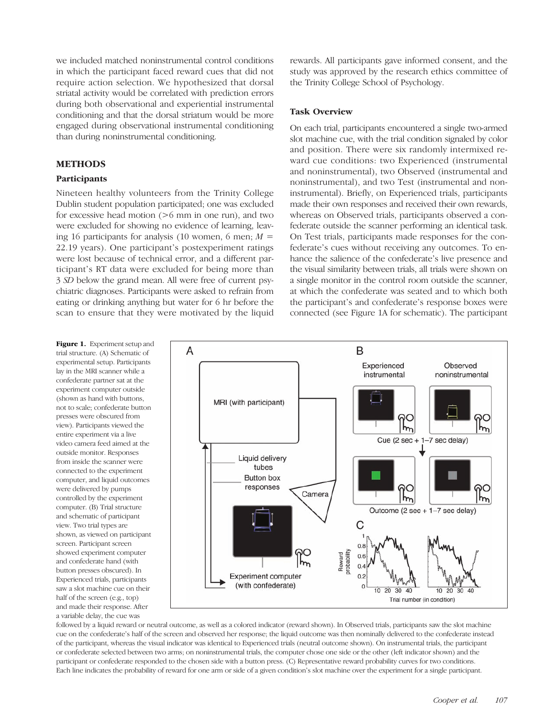we included matched noninstrumental control conditions in which the participant faced reward cues that did not require action selection. We hypothesized that dorsal striatal activity would be correlated with prediction errors during both observational and experiential instrumental conditioning and that the dorsal striatum would be more engaged during observational instrumental conditioning than during noninstrumental conditioning.

## METHODS

## Participants

Nineteen healthy volunteers from the Trinity College Dublin student population participated; one was excluded for excessive head motion (>6 mm in one run), and two were excluded for showing no evidence of learning, leaving 16 participants for analysis (10 women, 6 men;  $M =$ 22.19 years). One participant's postexperiment ratings were lost because of technical error, and a different participant's RT data were excluded for being more than 3 SD below the grand mean. All were free of current psychiatric diagnoses. Participants were asked to refrain from eating or drinking anything but water for 6 hr before the scan to ensure that they were motivated by the liquid

rewards. All participants gave informed consent, and the study was approved by the research ethics committee of the Trinity College School of Psychology.

## Task Overview

On each trial, participants encountered a single two-armed slot machine cue, with the trial condition signaled by color and position. There were six randomly intermixed reward cue conditions: two Experienced (instrumental and noninstrumental), two Observed (instrumental and noninstrumental), and two Test (instrumental and noninstrumental). Briefly, on Experienced trials, participants made their own responses and received their own rewards, whereas on Observed trials, participants observed a confederate outside the scanner performing an identical task. On Test trials, participants made responses for the confederate's cues without receiving any outcomes. To enhance the salience of the confederate's live presence and the visual similarity between trials, all trials were shown on a single monitor in the control room outside the scanner, at which the confederate was seated and to which both the participant's and confederate's response boxes were connected (see Figure 1A for schematic). The participant

Figure 1. Experiment setup and trial structure. (A) Schematic of experimental setup. Participants lay in the MRI scanner while a confederate partner sat at the experiment computer outside (shown as hand with buttons, not to scale; confederate button presses were obscured from view). Participants viewed the entire experiment via a live video camera feed aimed at the outside monitor. Responses from inside the scanner were connected to the experiment computer, and liquid outcomes were delivered by pumps controlled by the experiment computer. (B) Trial structure and schematic of participant view. Two trial types are shown, as viewed on participant screen. Participant screen showed experiment computer and confederate hand (with button presses obscured). In Experienced trials, participants saw a slot machine cue on their half of the screen (e.g., top) and made their response. After a variable delay, the cue was



followed by a liquid reward or neutral outcome, as well as a colored indicator (reward shown). In Observed trials, participants saw the slot machine cue on the confederate's half of the screen and observed her response; the liquid outcome was then nominally delivered to the confederate instead of the participant, whereas the visual indicator was identical to Experienced trials (neutral outcome shown). On instrumental trials, the participant or confederate selected between two arms; on noninstrumental trials, the computer chose one side or the other (left indicator shown) and the participant or confederate responded to the chosen side with a button press. (C) Representative reward probability curves for two conditions. Each line indicates the probability of reward for one arm or side of a given condition's slot machine over the experiment for a single participant.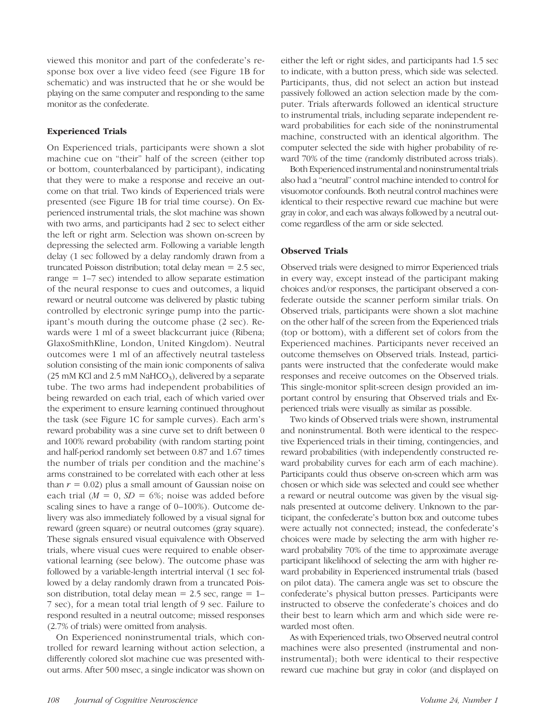viewed this monitor and part of the confederate's response box over a live video feed (see Figure 1B for schematic) and was instructed that he or she would be playing on the same computer and responding to the same monitor as the confederate.

## Experienced Trials

On Experienced trials, participants were shown a slot machine cue on "their" half of the screen (either top or bottom, counterbalanced by participant), indicating that they were to make a response and receive an outcome on that trial. Two kinds of Experienced trials were presented (see Figure 1B for trial time course). On Experienced instrumental trials, the slot machine was shown with two arms, and participants had 2 sec to select either the left or right arm. Selection was shown on-screen by depressing the selected arm. Following a variable length delay (1 sec followed by a delay randomly drawn from a truncated Poisson distribution; total delay mean = 2.5 sec, range  $= 1 - 7$  sec) intended to allow separate estimation of the neural response to cues and outcomes, a liquid reward or neutral outcome was delivered by plastic tubing controlled by electronic syringe pump into the participant's mouth during the outcome phase (2 sec). Rewards were 1 ml of a sweet blackcurrant juice (Ribena; GlaxoSmithKline, London, United Kingdom). Neutral outcomes were 1 ml of an affectively neutral tasteless solution consisting of the main ionic components of saliva (25 mM KCl and 2.5 mM NaHCO<sub>3</sub>), delivered by a separate tube. The two arms had independent probabilities of being rewarded on each trial, each of which varied over the experiment to ensure learning continued throughout the task (see Figure 1C for sample curves). Each arm's reward probability was a sine curve set to drift between 0 and 100% reward probability (with random starting point and half-period randomly set between 0.87 and 1.67 times the number of trials per condition and the machine's arms constrained to be correlated with each other at less than  $r = 0.02$ ) plus a small amount of Gaussian noise on each trial ( $M = 0$ ,  $SD = 6\%$ ; noise was added before scaling sines to have a range of 0–100%). Outcome delivery was also immediately followed by a visual signal for reward (green square) or neutral outcomes (gray square). These signals ensured visual equivalence with Observed trials, where visual cues were required to enable observational learning (see below). The outcome phase was followed by a variable-length intertrial interval (1 sec followed by a delay randomly drawn from a truncated Poisson distribution, total delay mean =  $2.5$  sec, range =  $1-$ 7 sec), for a mean total trial length of 9 sec. Failure to respond resulted in a neutral outcome; missed responses (2.7% of trials) were omitted from analysis.

On Experienced noninstrumental trials, which controlled for reward learning without action selection, a differently colored slot machine cue was presented without arms. After 500 msec, a single indicator was shown on

either the left or right sides, and participants had 1.5 sec to indicate, with a button press, which side was selected. Participants, thus, did not select an action but instead passively followed an action selection made by the computer. Trials afterwards followed an identical structure to instrumental trials, including separate independent reward probabilities for each side of the noninstrumental machine, constructed with an identical algorithm. The computer selected the side with higher probability of reward 70% of the time (randomly distributed across trials).

Both Experienced instrumental and noninstrumental trials also had a "neutral" control machine intended to control for visuomotor confounds. Both neutral control machines were identical to their respective reward cue machine but were gray in color, and each was always followed by a neutral outcome regardless of the arm or side selected.

## Observed Trials

Observed trials were designed to mirror Experienced trials in every way, except instead of the participant making choices and/or responses, the participant observed a confederate outside the scanner perform similar trials. On Observed trials, participants were shown a slot machine on the other half of the screen from the Experienced trials (top or bottom), with a different set of colors from the Experienced machines. Participants never received an outcome themselves on Observed trials. Instead, participants were instructed that the confederate would make responses and receive outcomes on the Observed trials. This single-monitor split-screen design provided an important control by ensuring that Observed trials and Experienced trials were visually as similar as possible.

Two kinds of Observed trials were shown, instrumental and noninstrumental. Both were identical to the respective Experienced trials in their timing, contingencies, and reward probabilities (with independently constructed reward probability curves for each arm of each machine). Participants could thus observe on-screen which arm was chosen or which side was selected and could see whether a reward or neutral outcome was given by the visual signals presented at outcome delivery. Unknown to the participant, the confederate's button box and outcome tubes were actually not connected; instead, the confederate's choices were made by selecting the arm with higher reward probability 70% of the time to approximate average participant likelihood of selecting the arm with higher reward probability in Experienced instrumental trials (based on pilot data). The camera angle was set to obscure the confederate's physical button presses. Participants were instructed to observe the confederate's choices and do their best to learn which arm and which side were rewarded most often.

As with Experienced trials, two Observed neutral control machines were also presented (instrumental and noninstrumental); both were identical to their respective reward cue machine but gray in color (and displayed on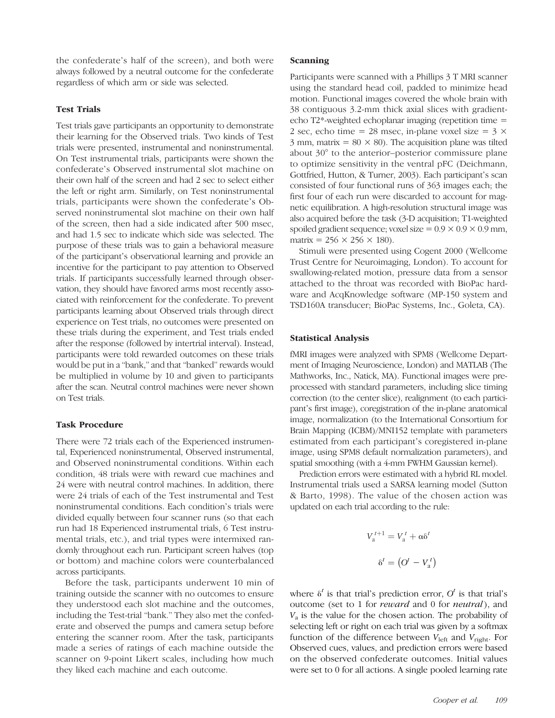the confederate's half of the screen), and both were always followed by a neutral outcome for the confederate regardless of which arm or side was selected.

## Test Trials

Test trials gave participants an opportunity to demonstrate their learning for the Observed trials. Two kinds of Test trials were presented, instrumental and noninstrumental. On Test instrumental trials, participants were shown the confederate's Observed instrumental slot machine on their own half of the screen and had 2 sec to select either the left or right arm. Similarly, on Test noninstrumental trials, participants were shown the confederate's Observed noninstrumental slot machine on their own half of the screen, then had a side indicated after 500 msec, and had 1.5 sec to indicate which side was selected. The purpose of these trials was to gain a behavioral measure of the participant's observational learning and provide an incentive for the participant to pay attention to Observed trials. If participants successfully learned through observation, they should have favored arms most recently associated with reinforcement for the confederate. To prevent participants learning about Observed trials through direct experience on Test trials, no outcomes were presented on these trials during the experiment, and Test trials ended after the response (followed by intertrial interval). Instead, participants were told rewarded outcomes on these trials would be put in a "bank," and that "banked" rewards would be multiplied in volume by 10 and given to participants after the scan. Neutral control machines were never shown on Test trials.

#### Task Procedure

There were 72 trials each of the Experienced instrumental, Experienced noninstrumental, Observed instrumental, and Observed noninstrumental conditions. Within each condition, 48 trials were with reward cue machines and 24 were with neutral control machines. In addition, there were 24 trials of each of the Test instrumental and Test noninstrumental conditions. Each condition's trials were divided equally between four scanner runs (so that each run had 18 Experienced instrumental trials, 6 Test instrumental trials, etc.), and trial types were intermixed randomly throughout each run. Participant screen halves (top or bottom) and machine colors were counterbalanced across participants.

Before the task, participants underwent 10 min of training outside the scanner with no outcomes to ensure they understood each slot machine and the outcomes, including the Test-trial "bank." They also met the confederate and observed the pumps and camera setup before entering the scanner room. After the task, participants made a series of ratings of each machine outside the scanner on 9-point Likert scales, including how much they liked each machine and each outcome.

## Scanning

Participants were scanned with a Phillips 3 T MRI scanner using the standard head coil, padded to minimize head motion. Functional images covered the whole brain with 38 contiguous 3.2-mm thick axial slices with gradientecho T2\*-weighted echoplanar imaging (repetition time = 2 sec, echo time = 28 msec, in-plane voxel size =  $3 \times$ 3 mm, matrix =  $80 \times 80$ ). The acquisition plane was tilted about 30° to the anterior–posterior commissure plane to optimize sensitivity in the ventral pFC (Deichmann, Gottfried, Hutton, & Turner, 2003). Each participant's scan consisted of four functional runs of 363 images each; the first four of each run were discarded to account for magnetic equilibration. A high-resolution structural image was also acquired before the task (3-D acquisition; T1-weighted spoiled gradient sequence; voxel size  $= 0.9 \times 0.9 \times 0.9$  mm, matrix =  $256 \times 256 \times 180$ .

Stimuli were presented using Cogent 2000 (Wellcome Trust Centre for Neuroimaging, London). To account for swallowing-related motion, pressure data from a sensor attached to the throat was recorded with BioPac hardware and AcqKnowledge software (MP-150 system and TSD160A transducer; BioPac Systems, Inc., Goleta, CA).

## Statistical Analysis

fMRI images were analyzed with SPM8 (Wellcome Department of Imaging Neuroscience, London) and MATLAB (The Mathworks, Inc., Natick, MA). Functional images were preprocessed with standard parameters, including slice timing correction (to the center slice), realignment (to each participant's first image), coregistration of the in-plane anatomical image, normalization (to the International Consortium for Brain Mapping (ICBM)/MNI152 template with parameters estimated from each participant's coregistered in-plane image, using SPM8 default normalization parameters), and spatial smoothing (with a 4-mm FWHM Gaussian kernel).

Prediction errors were estimated with a hybrid RL model. Instrumental trials used a SARSA learning model (Sutton & Barto, 1998). The value of the chosen action was updated on each trial according to the rule:

$$
V_1^{t+1} = V_a^t + \alpha \delta^t
$$

$$
\delta^t = (O^t - V_a^t)
$$

where  $\delta^t$  is that trial's prediction error,  $O^t$  is that trial's outcome (set to 1 for reward and 0 for neutral), and  $V_a$  is the value for the chosen action. The probability of selecting left or right on each trial was given by a softmax function of the difference between  $V_{\text{left}}$  and  $V_{\text{right}}$ . For Observed cues, values, and prediction errors were based on the observed confederate outcomes. Initial values were set to 0 for all actions. A single pooled learning rate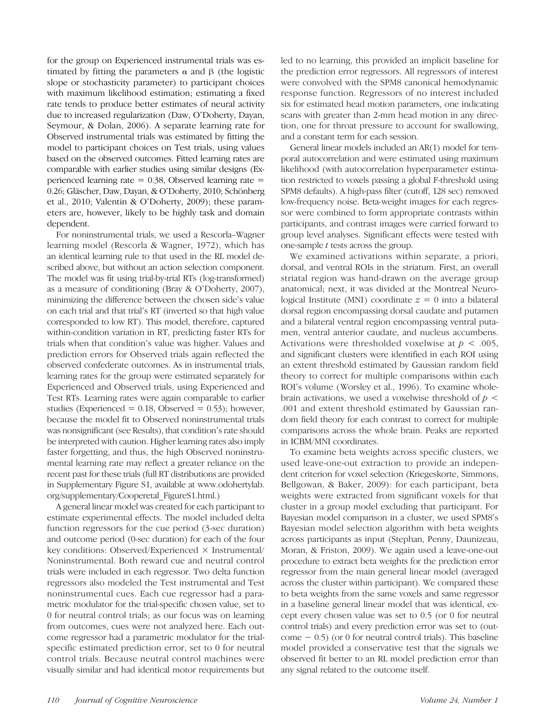for the group on Experienced instrumental trials was estimated by fitting the parameters α and β (the logistic slope or stochasticity parameter) to participant choices with maximum likelihood estimation; estimating a fixed rate tends to produce better estimates of neural activity due to increased regularization (Daw, O'Doherty, Dayan, Seymour, & Dolan, 2006). A separate learning rate for Observed instrumental trials was estimated by fitting the model to participant choices on Test trials, using values based on the observed outcomes. Fitted learning rates are comparable with earlier studies using similar designs (Experienced learning rate  $= 0.38$ , Observed learning rate  $=$ 0.26; Gläscher, Daw, Dayan, & O'Doherty, 2010; Schönberg et al., 2010; Valentin & O'Doherty, 2009); these parameters are, however, likely to be highly task and domain dependent.

For noninstrumental trials, we used a Rescorla–Wagner learning model (Rescorla & Wagner, 1972), which has an identical learning rule to that used in the RL model described above, but without an action selection component. The model was fit using trial-by-trial RTs (log-transformed) as a measure of conditioning (Bray & O'Doherty, 2007), minimizing the difference between the chosen side's value on each trial and that trial's RT (inverted so that high value corresponded to low RT). This model, therefore, captured within-condition variation in RT, predicting faster RTs for trials when that condition's value was higher. Values and prediction errors for Observed trials again reflected the observed confederate outcomes. As in instrumental trials, learning rates for the group were estimated separately for Experienced and Observed trials, using Experienced and Test RTs. Learning rates were again comparable to earlier studies (Experienced =  $0.18$ , Observed =  $0.53$ ); however, because the model fit to Observed noninstrumental trials was nonsignificant (see Results), that condition's rate should be interpreted with caution. Higher learning rates also imply faster forgetting, and thus, the high Observed noninstrumental learning rate may reflect a greater reliance on the recent past for these trials (full RT distributions are provided in Supplementary Figure S1, available at www.odohertylab. org/supplementary/Cooperetal\_FigureS1.html.)

A general linear model was created for each participant to estimate experimental effects. The model included delta function regressors for the cue period (3-sec duration) and outcome period (0-sec duration) for each of the four key conditions: Observed/Experienced × Instrumental/ Noninstrumental. Both reward cue and neutral control trials were included in each regressor. Two delta function regressors also modeled the Test instrumental and Test noninstrumental cues. Each cue regressor had a parametric modulator for the trial-specific chosen value, set to 0 for neutral control trials; as our focus was on learning from outcomes, cues were not analyzed here. Each outcome regressor had a parametric modulator for the trialspecific estimated prediction error, set to 0 for neutral control trials. Because neutral control machines were visually similar and had identical motor requirements but

led to no learning, this provided an implicit baseline for the prediction error regressors. All regressors of interest were convolved with the SPM8 canonical hemodynamic response function. Regressors of no interest included six for estimated head motion parameters, one indicating scans with greater than 2-mm head motion in any direction, one for throat pressure to account for swallowing, and a constant term for each session.

General linear models included an AR(1) model for temporal autocorrelation and were estimated using maximum likelihood (with autocorrelation hyperparameter estimation restricted to voxels passing a global F-threshold using SPM8 defaults). A high-pass filter (cutoff, 128 sec) removed low-frequency noise. Beta-weight images for each regressor were combined to form appropriate contrasts within participants, and contrast images were carried forward to group level analyses. Significant effects were tested with one-sample t tests across the group.

We examined activations within separate, a priori, dorsal, and ventral ROIs in the striatum. First, an overall striatal region was hand-drawn on the average group anatomical; next, it was divided at the Montreal Neurological Institute (MNI) coordinate  $z = 0$  into a bilateral dorsal region encompassing dorsal caudate and putamen and a bilateral ventral region encompassing ventral putamen, ventral anterior caudate, and nucleus accumbens. Activations were thresholded voxelwise at  $p < .005$ , and significant clusters were identified in each ROI using an extent threshold estimated by Gaussian random field theory to correct for multiple comparisons within each ROI's volume (Worsley et al., 1996). To examine wholebrain activations, we used a voxelwise threshold of  $p <$ .001 and extent threshold estimated by Gaussian random field theory for each contrast to correct for multiple comparisons across the whole brain. Peaks are reported in ICBM/MNI coordinates.

To examine beta weights across specific clusters, we used leave-one-out extraction to provide an independent criterion for voxel selection (Kriegeskorte, Simmons, Bellgowan, & Baker, 2009): for each participant, beta weights were extracted from significant voxels for that cluster in a group model excluding that participant. For Bayesian model comparison in a cluster, we used SPM8's Bayesian model selection algorithm with beta weights across participants as input (Stephan, Penny, Daunizeau, Moran, & Friston, 2009). We again used a leave-one-out procedure to extract beta weights for the prediction error regressor from the main general linear model (averaged across the cluster within participant). We compared these to beta weights from the same voxels and same regressor in a baseline general linear model that was identical, except every chosen value was set to 0.5 (or 0 for neutral control trials) and every prediction error was set to (outcome − 0.5) (or 0 for neutral control trials). This baseline model provided a conservative test that the signals we observed fit better to an RL model prediction error than any signal related to the outcome itself.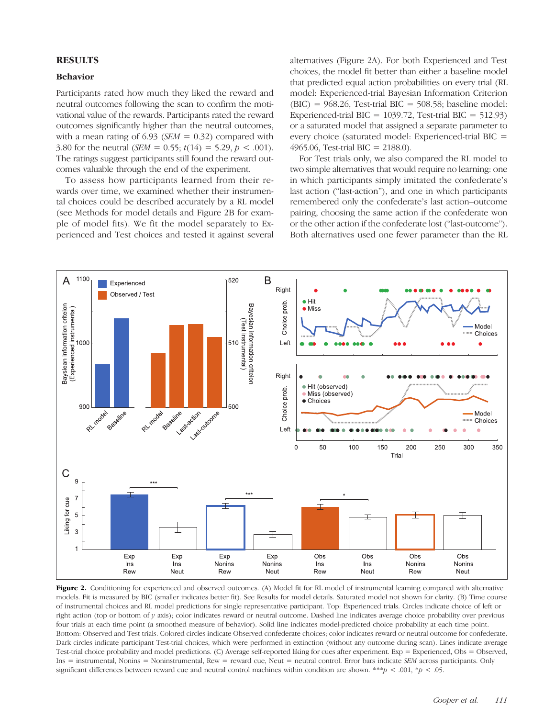## **RESULTS**

## Behavior

Participants rated how much they liked the reward and neutral outcomes following the scan to confirm the motivational value of the rewards. Participants rated the reward outcomes significantly higher than the neutral outcomes, with a mean rating of 6.93 (*SEM* = 0.32) compared with 3.80 for the neutral (*SEM* = 0.55;  $t(14) = 5.29$ ,  $p < .001$ ). The ratings suggest participants still found the reward outcomes valuable through the end of the experiment.

To assess how participants learned from their rewards over time, we examined whether their instrumental choices could be described accurately by a RL model (see Methods for model details and Figure 2B for example of model fits). We fit the model separately to Experienced and Test choices and tested it against several alternatives (Figure 2A). For both Experienced and Test choices, the model fit better than either a baseline model that predicted equal action probabilities on every trial (RL model: Experienced-trial Bayesian Information Criterion (BIC) =  $968.26$ , Test-trial BIC =  $508.58$ ; baseline model: Experienced-trial BIC =  $1039.72$ , Test-trial BIC =  $512.93$ ) or a saturated model that assigned a separate parameter to every choice (saturated model: Experienced-trial BIC = 4965.06, Test-trial BIC = 2188.0).

For Test trials only, we also compared the RL model to two simple alternatives that would require no learning: one in which participants simply imitated the confederate's last action ("last-action"), and one in which participants remembered only the confederate's last action–outcome pairing, choosing the same action if the confederate won or the other action if the confederate lost ("last-outcome"). Both alternatives used one fewer parameter than the RL



Figure 2. Conditioning for experienced and observed outcomes. (A) Model fit for RL model of instrumental learning compared with alternative models. Fit is measured by BIC (smaller indicates better fit). See Results for model details. Saturated model not shown for clarity. (B) Time course of instrumental choices and RL model predictions for single representative participant. Top: Experienced trials. Circles indicate choice of left or right action (top or bottom of y axis); color indicates reward or neutral outcome. Dashed line indicates average choice probability over previous four trials at each time point (a smoothed measure of behavior). Solid line indicates model-predicted choice probability at each time point. Bottom: Observed and Test trials. Colored circles indicate Observed confederate choices; color indicates reward or neutral outcome for confederate. Dark circles indicate participant Test-trial choices, which were performed in extinction (without any outcome during scan). Lines indicate average Test-trial choice probability and model predictions. (C) Average self-reported liking for cues after experiment. Exp = Experienced, Obs = Observed, Ins = instrumental, Nonins = Noninstrumental, Rew = reward cue, Neut = neutral control. Error bars indicate SEM across participants. Only significant differences between reward cue and neutral control machines within condition are shown. \*\*\*p < .001, \*p < .05.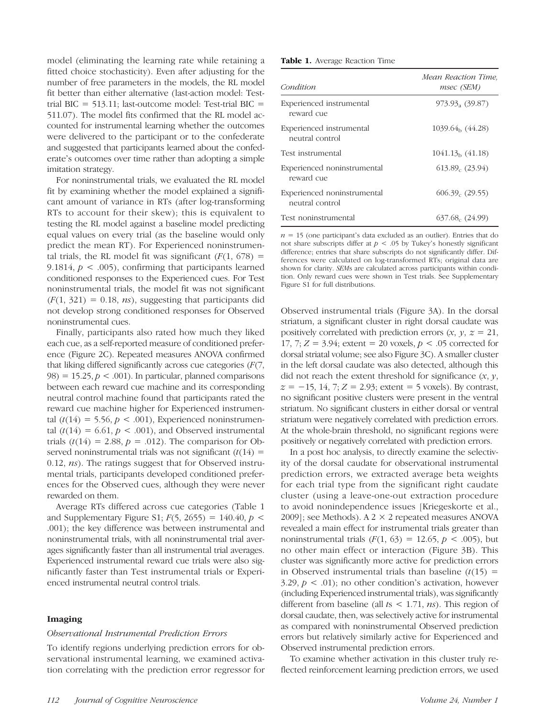model (eliminating the learning rate while retaining a fitted choice stochasticity). Even after adjusting for the number of free parameters in the models, the RL model fit better than either alternative (last-action model: Testtrial BIC =  $513.11$ ; last-outcome model: Test-trial BIC = 511.07). The model fits confirmed that the RL model accounted for instrumental learning whether the outcomes were delivered to the participant or to the confederate and suggested that participants learned about the confederate's outcomes over time rather than adopting a simple imitation strategy.

For noninstrumental trials, we evaluated the RL model fit by examining whether the model explained a significant amount of variance in RTs (after log-transforming RTs to account for their skew); this is equivalent to testing the RL model against a baseline model predicting equal values on every trial (as the baseline would only predict the mean RT). For Experienced noninstrumental trials, the RL model fit was significant  $(F(1, 678))$  = 9.1814,  $p < .005$ ), confirming that participants learned conditioned responses to the Experienced cues. For Test noninstrumental trials, the model fit was not significant  $(F(1, 321) = 0.18, ns)$ , suggesting that participants did not develop strong conditioned responses for Observed noninstrumental cues.

Finally, participants also rated how much they liked each cue, as a self-reported measure of conditioned preference (Figure 2C). Repeated measures ANOVA confirmed that liking differed significantly across cue categories  $(F(7, \mathcal{O}))$  $98$ ) = 15.25,  $p < .001$ ). In particular, planned comparisons between each reward cue machine and its corresponding neutral control machine found that participants rated the reward cue machine higher for Experienced instrumental ( $t(14) = 5.56$ ,  $p < .001$ ), Experienced noninstrumental  $(t(14) = 6.61, p < .001)$ , and Observed instrumental trials  $(t(14) = 2.88, p = .012)$ . The comparison for Observed noninstrumental trials was not significant  $(t(14)$  =  $(0.12, ns)$ . The ratings suggest that for Observed instrumental trials, participants developed conditioned preferences for the Observed cues, although they were never rewarded on them.

Average RTs differed across cue categories (Table 1 and Supplementary Figure S1;  $F(5, 2655) = 140.40$ ,  $p <$ .001); the key difference was between instrumental and noninstrumental trials, with all noninstrumental trial averages significantly faster than all instrumental trial averages. Experienced instrumental reward cue trials were also significantly faster than Test instrumental trials or Experienced instrumental neutral control trials.

## Imaging

#### Observational Instrumental Prediction Errors

To identify regions underlying prediction errors for observational instrumental learning, we examined activation correlating with the prediction error regressor for

#### Table 1. Average Reaction Time

| Condition                                      | Mean Reaction Time.<br>msec (SEM) |
|------------------------------------------------|-----------------------------------|
| Experienced instrumental<br>reward cue         | $973.93a$ (39.87)                 |
| Experienced instrumental<br>neutral control    | $1039.64b$ (44.28)                |
| Test instrumental                              | $1041.13b$ (41.18)                |
| Experienced noninstrumental<br>reward cue      | $613.89c$ (23.94)                 |
| Experienced noninstrumental<br>neutral control | $606.39c$ (29.55)                 |
| Test noninstrumental                           | $637.68c$ (24.99)                 |

 $n = 15$  (one participant's data excluded as an outlier). Entries that do not share subscripts differ at  $p < .05$  by Tukey's honestly significant difference; entries that share subscripts do not significantly differ. Differences were calculated on log-transformed RTs; original data are shown for clarity. SEMs are calculated across participants within condition. Only reward cues were shown in Test trials. See Supplementary Figure S1 for full distributions.

Observed instrumental trials (Figure 3A). In the dorsal striatum, a significant cluster in right dorsal caudate was positively correlated with prediction errors  $(x, y, z = 21,$ 17, 7;  $Z = 3.94$ ; extent = 20 voxels,  $p < .05$  corrected for dorsal striatal volume; see also Figure 3C). A smaller cluster in the left dorsal caudate was also detected, although this did not reach the extent threshold for significance  $(x, y, z)$  $z = -15$ , 14, 7; Z = 2.93; extent = 5 voxels). By contrast, no significant positive clusters were present in the ventral striatum. No significant clusters in either dorsal or ventral striatum were negatively correlated with prediction errors. At the whole-brain threshold, no significant regions were positively or negatively correlated with prediction errors.

In a post hoc analysis, to directly examine the selectivity of the dorsal caudate for observational instrumental prediction errors, we extracted average beta weights for each trial type from the significant right caudate cluster (using a leave-one-out extraction procedure to avoid nonindependence issues [Kriegeskorte et al., 2009]; see Methods). A  $2 \times 2$  repeated measures ANOVA revealed a main effect for instrumental trials greater than noninstrumental trials  $(F(1, 63) = 12.65, p < .005)$ , but no other main effect or interaction (Figure 3B). This cluster was significantly more active for prediction errors in Observed instrumental trials than baseline  $(t(15)$  = 3.29,  $p < .01$ ); no other condition's activation, however (including Experienced instrumental trials), was significantly different from baseline (all  $ts < 1.71$ ,  $ns$ ). This region of dorsal caudate, then, was selectively active for instrumental as compared with noninstrumental Observed prediction errors but relatively similarly active for Experienced and Observed instrumental prediction errors.

To examine whether activation in this cluster truly reflected reinforcement learning prediction errors, we used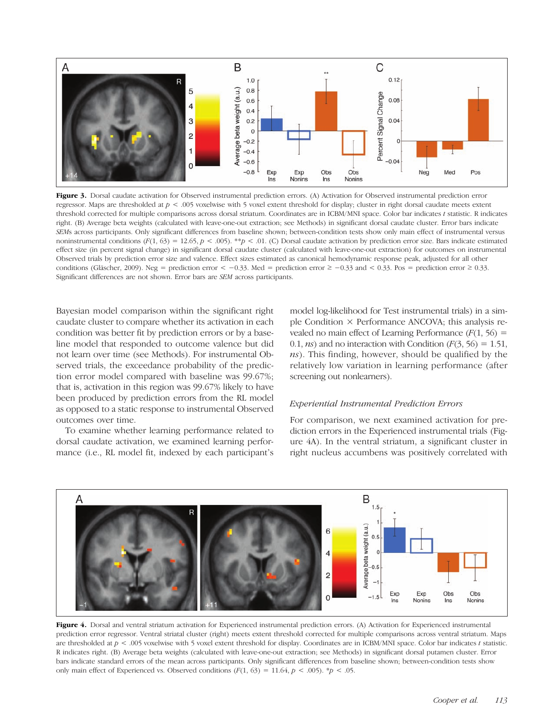

Figure 3. Dorsal caudate activation for Observed instrumental prediction errors. (A) Activation for Observed instrumental prediction error regressor. Maps are thresholded at  $p < .005$  voxelwise with 5 voxel extent threshold for display; cluster in right dorsal caudate meets extent threshold corrected for multiple comparisons across dorsal striatum. Coordinates are in ICBM/MNI space. Color bar indicates t statistic. R indicates right. (B) Average beta weights (calculated with leave-one-out extraction; see Methods) in significant dorsal caudate cluster. Error bars indicate SEMs across participants. Only significant differences from baseline shown; between-condition tests show only main effect of instrumental versus noninstrumental conditions  $(F(1, 63) = 12.65, p < .005)$ . \*\*p < .01. (C) Dorsal caudate activation by prediction error size. Bars indicate estimated effect size (in percent signal change) in significant dorsal caudate cluster (calculated with leave-one-out extraction) for outcomes on instrumental Observed trials by prediction error size and valence. Effect sizes estimated as canonical hemodynamic response peak, adjusted for all other conditions (Gläscher, 2009). Neg = prediction error < -0.33. Med = prediction error  $\geq$  -0.33 and < 0.33. Pos = prediction error  $\geq$  0.33. Significant differences are not shown. Error bars are SEM across participants.

Bayesian model comparison within the significant right caudate cluster to compare whether its activation in each condition was better fit by prediction errors or by a baseline model that responded to outcome valence but did not learn over time (see Methods). For instrumental Observed trials, the exceedance probability of the prediction error model compared with baseline was 99.67%; that is, activation in this region was 99.67% likely to have been produced by prediction errors from the RL model as opposed to a static response to instrumental Observed outcomes over time.

To examine whether learning performance related to dorsal caudate activation, we examined learning performance (i.e., RL model fit, indexed by each participant's

model log-likelihood for Test instrumental trials) in a simple Condition  $\times$  Performance ANCOVA; this analysis revealed no main effect of Learning Performance  $(F(1, 56) =$ 0.1, *ns*) and no interaction with Condition ( $F(3, 56) = 1.51$ ,  $ns$ ). This finding, however, should be qualified by the relatively low variation in learning performance (after screening out nonlearners).

#### Experiential Instrumental Prediction Errors

For comparison, we next examined activation for prediction errors in the Experienced instrumental trials (Figure 4A). In the ventral striatum, a significant cluster in right nucleus accumbens was positively correlated with



Figure 4. Dorsal and ventral striatum activation for Experienced instrumental prediction errors. (A) Activation for Experienced instrumental prediction error regressor. Ventral striatal cluster (right) meets extent threshold corrected for multiple comparisons across ventral striatum. Maps are thresholded at  $p < .005$  voxelwise with 5 voxel extent threshold for display. Coordinates are in ICBM/MNI space. Color bar indicates t statistic. R indicates right. (B) Average beta weights (calculated with leave-one-out extraction; see Methods) in significant dorsal putamen cluster. Error bars indicate standard errors of the mean across participants. Only significant differences from baseline shown; between-condition tests show only main effect of Experienced vs. Observed conditions  $(F(1, 63) = 11.64, p < .005)$ . \*p < .05.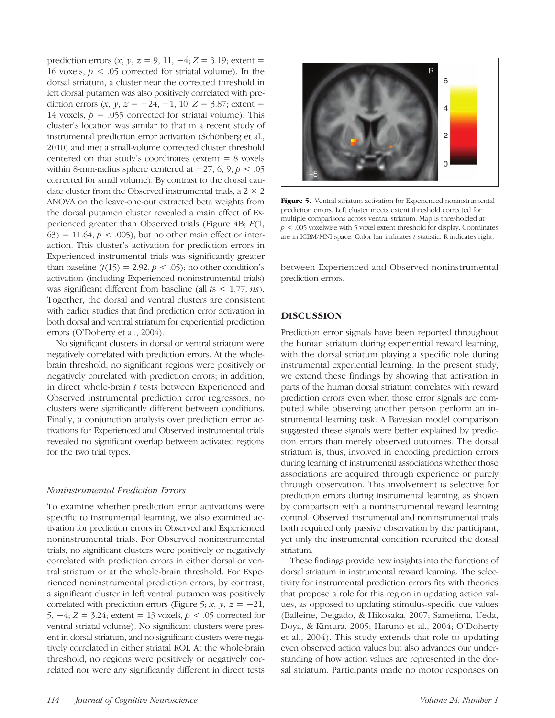prediction errors  $(x, y, z = 9, 11, -4; Z = 3.19;$  extent = 16 voxels,  $p < 0.05$  corrected for striatal volume). In the dorsal striatum, a cluster near the corrected threshold in left dorsal putamen was also positively correlated with prediction errors  $(x, y, z = -24, -1, 10; Z = 3.87;$  extent = 14 voxels,  $p = 0.055$  corrected for striatal volume). This cluster's location was similar to that in a recent study of instrumental prediction error activation (Schönberg et al., 2010) and met a small-volume corrected cluster threshold centered on that study's coordinates (extent = 8 voxels within 8-mm-radius sphere centered at  $-27$ , 6, 9,  $p < .05$ corrected for small volume). By contrast to the dorsal caudate cluster from the Observed instrumental trials, a  $2 \times 2$ ANOVA on the leave-one-out extracted beta weights from the dorsal putamen cluster revealed a main effect of Experienced greater than Observed trials (Figure 4B; F(1,  $(63) = 11.64$ ,  $p < .005$ ), but no other main effect or interaction. This cluster's activation for prediction errors in Experienced instrumental trials was significantly greater than baseline  $(t(15) = 2.92, p < .05)$ ; no other condition's activation (including Experienced noninstrumental trials) was significant different from baseline (all  $ts < 1.77$ ,  $ns$ ). Together, the dorsal and ventral clusters are consistent with earlier studies that find prediction error activation in both dorsal and ventral striatum for experiential prediction errors (O'Doherty et al., 2004).

No significant clusters in dorsal or ventral striatum were negatively correlated with prediction errors. At the wholebrain threshold, no significant regions were positively or negatively correlated with prediction errors; in addition, in direct whole-brain  $t$  tests between Experienced and Observed instrumental prediction error regressors, no clusters were significantly different between conditions. Finally, a conjunction analysis over prediction error activations for Experienced and Observed instrumental trials revealed no significant overlap between activated regions for the two trial types.

## Noninstrumental Prediction Errors

To examine whether prediction error activations were specific to instrumental learning, we also examined activation for prediction errors in Observed and Experienced noninstrumental trials. For Observed noninstrumental trials, no significant clusters were positively or negatively correlated with prediction errors in either dorsal or ventral striatum or at the whole-brain threshold. For Experienced noninstrumental prediction errors, by contrast, a significant cluster in left ventral putamen was positively correlated with prediction errors (Figure 5; x, y,  $z = -21$ , 5,  $-4$ ;  $Z = 3.24$ ; extent = 13 voxels,  $p < .05$  corrected for ventral striatal volume). No significant clusters were present in dorsal striatum, and no significant clusters were negatively correlated in either striatal ROI. At the whole-brain threshold, no regions were positively or negatively correlated nor were any significantly different in direct tests



Figure 5. Ventral striatum activation for Experienced noninstrumental prediction errors. Left cluster meets extent threshold corrected for multiple comparisons across ventral striatum. Map is thresholded at  $p < .005$  voxelwise with 5 voxel extent threshold for display. Coordinates are in ICBM/MNI space. Color bar indicates t statistic. R indicates right.

between Experienced and Observed noninstrumental prediction errors.

## DISCUSSION

Prediction error signals have been reported throughout the human striatum during experiential reward learning, with the dorsal striatum playing a specific role during instrumental experiential learning. In the present study, we extend these findings by showing that activation in parts of the human dorsal striatum correlates with reward prediction errors even when those error signals are computed while observing another person perform an instrumental learning task. A Bayesian model comparison suggested these signals were better explained by prediction errors than merely observed outcomes. The dorsal striatum is, thus, involved in encoding prediction errors during learning of instrumental associations whether those associations are acquired through experience or purely through observation. This involvement is selective for prediction errors during instrumental learning, as shown by comparison with a noninstrumental reward learning control. Observed instrumental and noninstrumental trials both required only passive observation by the participant, yet only the instrumental condition recruited the dorsal striatum.

These findings provide new insights into the functions of dorsal striatum in instrumental reward learning. The selectivity for instrumental prediction errors fits with theories that propose a role for this region in updating action values, as opposed to updating stimulus-specific cue values (Balleine, Delgado, & Hikosaka, 2007; Samejima, Ueda, Doya, & Kimura, 2005; Haruno et al., 2004; O'Doherty et al., 2004). This study extends that role to updating even observed action values but also advances our understanding of how action values are represented in the dorsal striatum. Participants made no motor responses on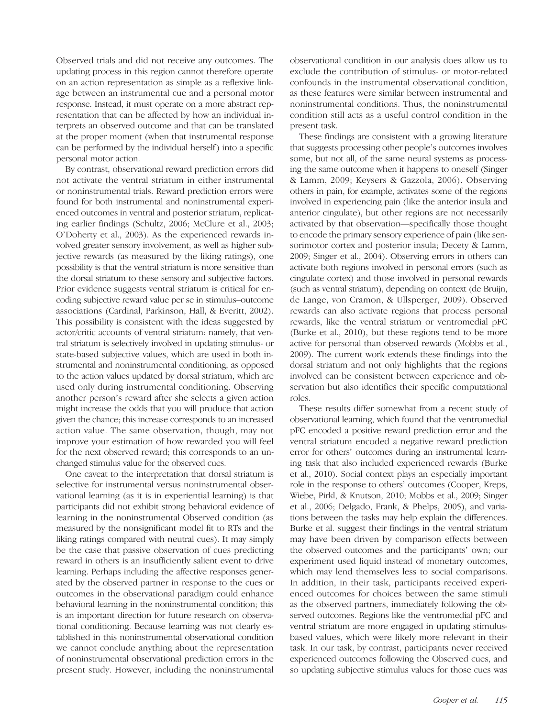Observed trials and did not receive any outcomes. The updating process in this region cannot therefore operate on an action representation as simple as a reflexive linkage between an instrumental cue and a personal motor response. Instead, it must operate on a more abstract representation that can be affected by how an individual interprets an observed outcome and that can be translated at the proper moment (when that instrumental response can be performed by the individual herself) into a specific personal motor action.

By contrast, observational reward prediction errors did not activate the ventral striatum in either instrumental or noninstrumental trials. Reward prediction errors were found for both instrumental and noninstrumental experienced outcomes in ventral and posterior striatum, replicating earlier findings (Schultz, 2006; McClure et al., 2003; O'Doherty et al., 2003). As the experienced rewards involved greater sensory involvement, as well as higher subjective rewards (as measured by the liking ratings), one possibility is that the ventral striatum is more sensitive than the dorsal striatum to these sensory and subjective factors. Prior evidence suggests ventral striatum is critical for encoding subjective reward value per se in stimulus–outcome associations (Cardinal, Parkinson, Hall, & Everitt, 2002). This possibility is consistent with the ideas suggested by actor/critic accounts of ventral striatum: namely, that ventral striatum is selectively involved in updating stimulus- or state-based subjective values, which are used in both instrumental and noninstrumental conditioning, as opposed to the action values updated by dorsal striatum, which are used only during instrumental conditioning. Observing another person's reward after she selects a given action might increase the odds that you will produce that action given the chance; this increase corresponds to an increased action value. The same observation, though, may not improve your estimation of how rewarded you will feel for the next observed reward; this corresponds to an unchanged stimulus value for the observed cues.

One caveat to the interpretation that dorsal striatum is selective for instrumental versus noninstrumental observational learning (as it is in experiential learning) is that participants did not exhibit strong behavioral evidence of learning in the noninstrumental Observed condition (as measured by the nonsignificant model fit to RTs and the liking ratings compared with neutral cues). It may simply be the case that passive observation of cues predicting reward in others is an insufficiently salient event to drive learning. Perhaps including the affective responses generated by the observed partner in response to the cues or outcomes in the observational paradigm could enhance behavioral learning in the noninstrumental condition; this is an important direction for future research on observational conditioning. Because learning was not clearly established in this noninstrumental observational condition we cannot conclude anything about the representation of noninstrumental observational prediction errors in the present study. However, including the noninstrumental

observational condition in our analysis does allow us to exclude the contribution of stimulus- or motor-related confounds in the instrumental observational condition, as these features were similar between instrumental and noninstrumental conditions. Thus, the noninstrumental condition still acts as a useful control condition in the present task.

These findings are consistent with a growing literature that suggests processing other people's outcomes involves some, but not all, of the same neural systems as processing the same outcome when it happens to oneself (Singer & Lamm, 2009; Keysers & Gazzola, 2006). Observing others in pain, for example, activates some of the regions involved in experiencing pain (like the anterior insula and anterior cingulate), but other regions are not necessarily activated by that observation—specifically those thought to encode the primary sensory experience of pain (like sensorimotor cortex and posterior insula; Decety & Lamm, 2009; Singer et al., 2004). Observing errors in others can activate both regions involved in personal errors (such as cingulate cortex) and those involved in personal rewards (such as ventral striatum), depending on context (de Bruijn, de Lange, von Cramon, & Ullsperger, 2009). Observed rewards can also activate regions that process personal rewards, like the ventral striatum or ventromedial pFC (Burke et al., 2010), but these regions tend to be more active for personal than observed rewards (Mobbs et al., 2009). The current work extends these findings into the dorsal striatum and not only highlights that the regions involved can be consistent between experience and observation but also identifies their specific computational roles.

These results differ somewhat from a recent study of observational learning, which found that the ventromedial pFC encoded a positive reward prediction error and the ventral striatum encoded a negative reward prediction error for others' outcomes during an instrumental learning task that also included experienced rewards (Burke et al., 2010). Social context plays an especially important role in the response to others' outcomes (Cooper, Kreps, Wiebe, Pirkl, & Knutson, 2010; Mobbs et al., 2009; Singer et al., 2006; Delgado, Frank, & Phelps, 2005), and variations between the tasks may help explain the differences. Burke et al. suggest their findings in the ventral striatum may have been driven by comparison effects between the observed outcomes and the participants' own; our experiment used liquid instead of monetary outcomes, which may lend themselves less to social comparisons. In addition, in their task, participants received experienced outcomes for choices between the same stimuli as the observed partners, immediately following the observed outcomes. Regions like the ventromedial pFC and ventral striatum are more engaged in updating stimulusbased values, which were likely more relevant in their task. In our task, by contrast, participants never received experienced outcomes following the Observed cues, and so updating subjective stimulus values for those cues was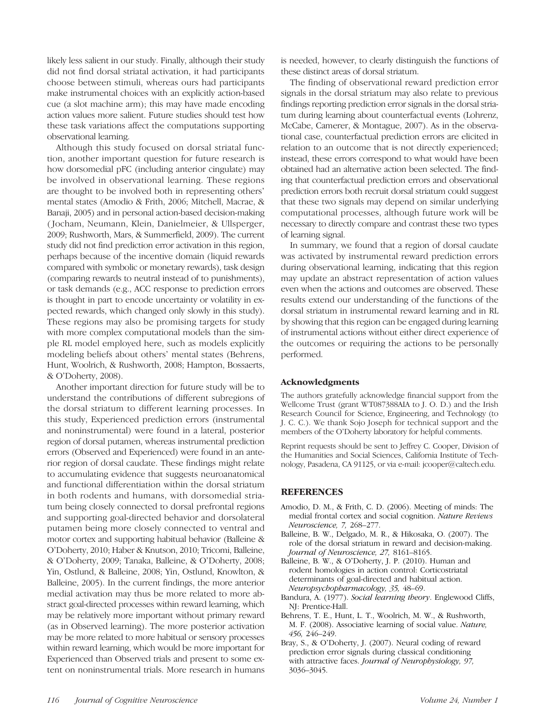likely less salient in our study. Finally, although their study did not find dorsal striatal activation, it had participants choose between stimuli, whereas ours had participants make instrumental choices with an explicitly action-based cue (a slot machine arm); this may have made encoding action values more salient. Future studies should test how these task variations affect the computations supporting observational learning.

Although this study focused on dorsal striatal function, another important question for future research is how dorsomedial pFC (including anterior cingulate) may be involved in observational learning. These regions are thought to be involved both in representing others' mental states (Amodio & Frith, 2006; Mitchell, Macrae, & Banaji, 2005) and in personal action-based decision-making ( Jocham, Neumann, Klein, Danielmeier, & Ullsperger, 2009; Rushworth, Mars, & Summerfield, 2009). The current study did not find prediction error activation in this region, perhaps because of the incentive domain (liquid rewards compared with symbolic or monetary rewards), task design (comparing rewards to neutral instead of to punishments), or task demands (e.g., ACC response to prediction errors is thought in part to encode uncertainty or volatility in expected rewards, which changed only slowly in this study). These regions may also be promising targets for study with more complex computational models than the simple RL model employed here, such as models explicitly modeling beliefs about others' mental states (Behrens, Hunt, Woolrich, & Rushworth, 2008; Hampton, Bossaerts, & O'Doherty, 2008).

Another important direction for future study will be to understand the contributions of different subregions of the dorsal striatum to different learning processes. In this study, Experienced prediction errors (instrumental and noninstrumental) were found in a lateral, posterior region of dorsal putamen, whereas instrumental prediction errors (Observed and Experienced) were found in an anterior region of dorsal caudate. These findings might relate to accumulating evidence that suggests neuroanatomical and functional differentiation within the dorsal striatum in both rodents and humans, with dorsomedial striatum being closely connected to dorsal prefrontal regions and supporting goal-directed behavior and dorsolateral putamen being more closely connected to ventral and motor cortex and supporting habitual behavior (Balleine & O'Doherty, 2010; Haber & Knutson, 2010; Tricomi, Balleine, & O'Doherty, 2009; Tanaka, Balleine, & O'Doherty, 2008; Yin, Ostlund, & Balleine, 2008; Yin, Ostlund, Knowlton, & Balleine, 2005). In the current findings, the more anterior medial activation may thus be more related to more abstract goal-directed processes within reward learning, which may be relatively more important without primary reward (as in Observed learning). The more posterior activation may be more related to more habitual or sensory processes within reward learning, which would be more important for Experienced than Observed trials and present to some extent on noninstrumental trials. More research in humans

is needed, however, to clearly distinguish the functions of these distinct areas of dorsal striatum.

The finding of observational reward prediction error signals in the dorsal striatum may also relate to previous findings reporting prediction error signals in the dorsal striatum during learning about counterfactual events (Lohrenz, McCabe, Camerer, & Montague, 2007). As in the observational case, counterfactual prediction errors are elicited in relation to an outcome that is not directly experienced; instead, these errors correspond to what would have been obtained had an alternative action been selected. The finding that counterfactual prediction errors and observational prediction errors both recruit dorsal striatum could suggest that these two signals may depend on similar underlying computational processes, although future work will be necessary to directly compare and contrast these two types of learning signal.

In summary, we found that a region of dorsal caudate was activated by instrumental reward prediction errors during observational learning, indicating that this region may update an abstract representation of action values even when the actions and outcomes are observed. These results extend our understanding of the functions of the dorsal striatum in instrumental reward learning and in RL by showing that this region can be engaged during learning of instrumental actions without either direct experience of the outcomes or requiring the actions to be personally performed.

## Acknowledgments

The authors gratefully acknowledge financial support from the Wellcome Trust (grant WT087388AIA to J. O. D.) and the Irish Research Council for Science, Engineering, and Technology (to J. C. C.). We thank Sojo Joseph for technical support and the members of the O'Doherty laboratory for helpful comments.

Reprint requests should be sent to Jeffrey C. Cooper, Division of the Humanities and Social Sciences, California Institute of Technology, Pasadena, CA 91125, or via e-mail: jcooper@caltech.edu.

## REFERENCES

- Amodio, D. M., & Frith, C. D. (2006). Meeting of minds: The medial frontal cortex and social cognition. Nature Reviews Neuroscience, 7, 268–277.
- Balleine, B. W., Delgado, M. R., & Hikosaka, O. (2007). The role of the dorsal striatum in reward and decision-making. Journal of Neuroscience, 27, 8161–8165.
- Balleine, B. W., & O'Doherty, J. P. (2010). Human and rodent homologies in action control: Corticostriatal determinants of goal-directed and habitual action. Neuropsychopharmacology, 35, 48–69.
- Bandura, A. (1977). Social learning theory. Englewood Cliffs, NJ: Prentice-Hall.
- Behrens, T. E., Hunt, L. T., Woolrich, M. W., & Rushworth, M. F. (2008). Associative learning of social value. Nature, 456, 246–249.
- Bray, S., & O'Doherty, J. (2007). Neural coding of reward prediction error signals during classical conditioning with attractive faces. Journal of Neurophysiology, 97, 3036–3045.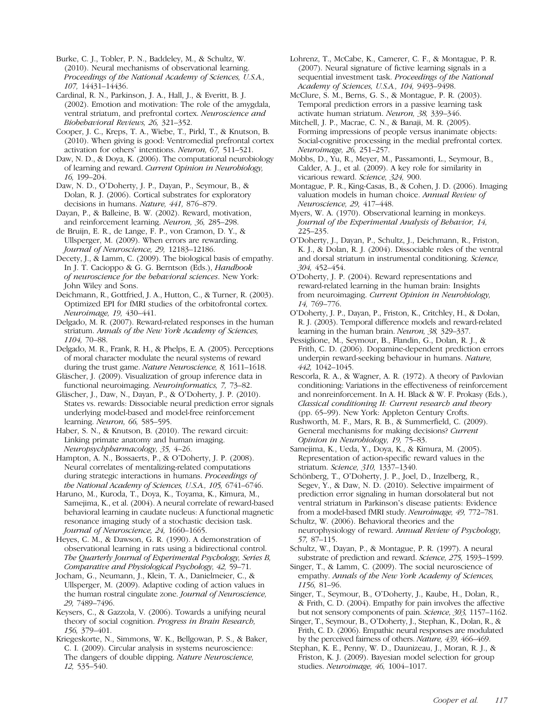Burke, C. J., Tobler, P. N., Baddeley, M., & Schultz, W. (2010). Neural mechanisms of observational learning. Proceedings of the National Academy of Sciences, U.S.A., 107, 14431–14436.

Cardinal, R. N., Parkinson, J. A., Hall, J., & Everitt, B. J. (2002). Emotion and motivation: The role of the amygdala, ventral striatum, and prefrontal cortex. Neuroscience and Biobehavioral Reviews, 26, 321–352.

Cooper, J. C., Kreps, T. A., Wiebe, T., Pirkl, T., & Knutson, B. (2010). When giving is good: Ventromedial prefrontal cortex activation for others' intentions. Neuron, 67, 511–521.

Daw, N. D., & Doya, K. (2006). The computational neurobiology of learning and reward. Current Opinion in Neurobiology, 16, 199–204.

Daw, N. D., O'Doherty, J. P., Dayan, P., Seymour, B., & Dolan, R. J. (2006). Cortical substrates for exploratory decisions in humans. Nature, 441, 876–879.

Dayan, P., & Balleine, B. W. (2002). Reward, motivation, and reinforcement learning. Neuron, 36, 285–298.

de Bruijn, E. R., de Lange, F. P., von Cramon, D. Y., & Ullsperger, M. (2009). When errors are rewarding. Journal of Neuroscience, 29, 12183–12186.

Decety, J., & Lamm, C. (2009). The biological basis of empathy. In J. T. Cacioppo & G. G. Berntson (Eds.), Handbook of neuroscience for the behavioral sciences. New York: John Wiley and Sons.

Deichmann, R., Gottfried, J. A., Hutton, C., & Turner, R. (2003). Optimized EPI for fMRI studies of the orbitofrontal cortex. Neuroimage, 19, 430–441.

Delgado, M. R. (2007). Reward-related responses in the human striatum. Annals of the New York Academy of Sciences, 1104, 70–88.

Delgado, M. R., Frank, R. H., & Phelps, E. A. (2005). Perceptions of moral character modulate the neural systems of reward during the trust game. Nature Neuroscience, 8, 1611–1618.

Gläscher, J. (2009). Visualization of group inference data in functional neuroimaging. Neuroinformatics, 7, 73–82.

Gläscher, J., Daw, N., Dayan, P., & O'Doherty, J. P. (2010). States vs. rewards: Dissociable neural prediction error signals underlying model-based and model-free reinforcement learning. Neuron, 66, 585–595.

Haber, S. N., & Knutson, B. (2010). The reward circuit: Linking primate anatomy and human imaging. Neuropsychpharmacology, 35, 4–26.

Hampton, A. N., Bossaerts, P., & O'Doherty, J. P. (2008). Neural correlates of mentalizing-related computations during strategic interactions in humans. Proceedings of the National Academy of Sciences, U.S.A., 105, 6741–6746.

Haruno, M., Kuroda, T., Doya, K., Toyama, K., Kimura, M., Samejima, K., et al. (2004). A neural correlate of reward-based behavioral learning in caudate nucleus: A functional magnetic resonance imaging study of a stochastic decision task. Journal of Neuroscience, 24, 1660–1665.

Heyes, C. M., & Dawson, G. R. (1990). A demonstration of observational learning in rats using a bidirectional control. The Quarterly Journal of Experimental Psychology, Series B, Comparative and Physiological Psychology, 42, 59–71.

Jocham, G., Neumann, J., Klein, T. A., Danielmeier, C., & Ullsperger, M. (2009). Adaptive coding of action values in the human rostral cingulate zone. Journal of Neuroscience, 29, 7489–7496.

Keysers, C., & Gazzola, V. (2006). Towards a unifying neural theory of social cognition. Progress in Brain Research, 156, 379–401.

Kriegeskorte, N., Simmons, W. K., Bellgowan, P. S., & Baker, C. I. (2009). Circular analysis in systems neuroscience: The dangers of double dipping. Nature Neuroscience, 12, 535–540.

Lohrenz, T., McCabe, K., Camerer, C. F., & Montague, P. R. (2007). Neural signature of fictive learning signals in a sequential investment task. Proceedings of the National Academy of Sciences, U.S.A., 104, 9493–9498.

McClure, S. M., Berns, G. S., & Montague, P. R. (2003). Temporal prediction errors in a passive learning task activate human striatum. Neuron, 38, 339–346.

Mitchell, J. P., Macrae, C. N., & Banaji, M. R. (2005). Forming impressions of people versus inanimate objects: Social-cognitive processing in the medial prefrontal cortex. Neuroimage, 26, 251–257.

Mobbs, D., Yu, R., Meyer, M., Passamonti, L., Seymour, B., Calder, A. J., et al. (2009). A key role for similarity in vicarious reward. Science, 324, 900.

Montague, P. R., King-Casas, B., & Cohen, J. D. (2006). Imaging valuation models in human choice. Annual Review of Neuroscience, 29, 417–448.

Myers, W. A. (1970). Observational learning in monkeys. Journal of the Experimental Analysis of Behavior, 14, 225–235.

O'Doherty, J., Dayan, P., Schultz, J., Deichmann, R., Friston, K. J., & Dolan, R. J. (2004). Dissociable roles of the ventral and dorsal striatum in instrumental conditioning. Science, 304, 452–454.

O'Doherty, J. P. (2004). Reward representations and reward-related learning in the human brain: Insights from neuroimaging. Current Opinion in Neurobiology, 14, 769–776.

O'Doherty, J. P., Dayan, P., Friston, K., Critchley, H., & Dolan, R. J. (2003). Temporal difference models and reward-related learning in the human brain. Neuron, 38, 329–337.

Pessiglione, M., Seymour, B., Flandin, G., Dolan, R. J., & Frith, C. D. (2006). Dopamine-dependent prediction errors underpin reward-seeking behaviour in humans. Nature, 442, 1042–1045.

Rescorla, R. A., & Wagner, A. R. (1972). A theory of Pavlovian conditioning: Variations in the effectiveness of reinforcement and nonreinforcement. In A. H. Black & W. F. Prokasy (Eds.), Classical conditioning II: Current research and theory (pp. 65–99). New York: Appleton Century Crofts.

Rushworth, M. F., Mars, R. B., & Summerfield, C. (2009). General mechanisms for making decisions? Current Opinion in Neurobiology, 19, 75–83.

Samejima, K., Ueda, Y., Doya, K., & Kimura, M. (2005). Representation of action-specific reward values in the striatum. Science, 310, 1337–1340.

Schönberg, T., O'Doherty, J. P., Joel, D., Inzelberg, R., Segev, Y., & Daw, N. D. (2010). Selective impairment of prediction error signaling in human dorsolateral but not ventral striatum in Parkinson's disease patients: Evidence from a model-based fMRI study. Neuroimage, 49, 772–781.

Schultz, W. (2006). Behavioral theories and the neurophysiology of reward. Annual Review of Psychology, 57, 87–115.

Schultz, W., Dayan, P., & Montague, P. R. (1997). A neural substrate of prediction and reward. Science, 275, 1593–1599.

Singer, T., & Lamm, C. (2009). The social neuroscience of empathy. Annals of the New York Academy of Sciences, 1156, 81–96.

Singer, T., Seymour, B., O'Doherty, J., Kaube, H., Dolan, R., & Frith, C. D. (2004). Empathy for pain involves the affective but not sensory components of pain. Science, 303, 1157–1162.

Singer, T., Seymour, B., O'Doherty, J., Stephan, K., Dolan, R., & Frith, C. D. (2006). Empathic neural responses are modulated by the perceived fairness of others. Nature, 439, 466–469.

Stephan, K. E., Penny, W. D., Daunizeau, J., Moran, R. J., & Friston, K. J. (2009). Bayesian model selection for group studies. Neuroimage, 46, 1004–1017.